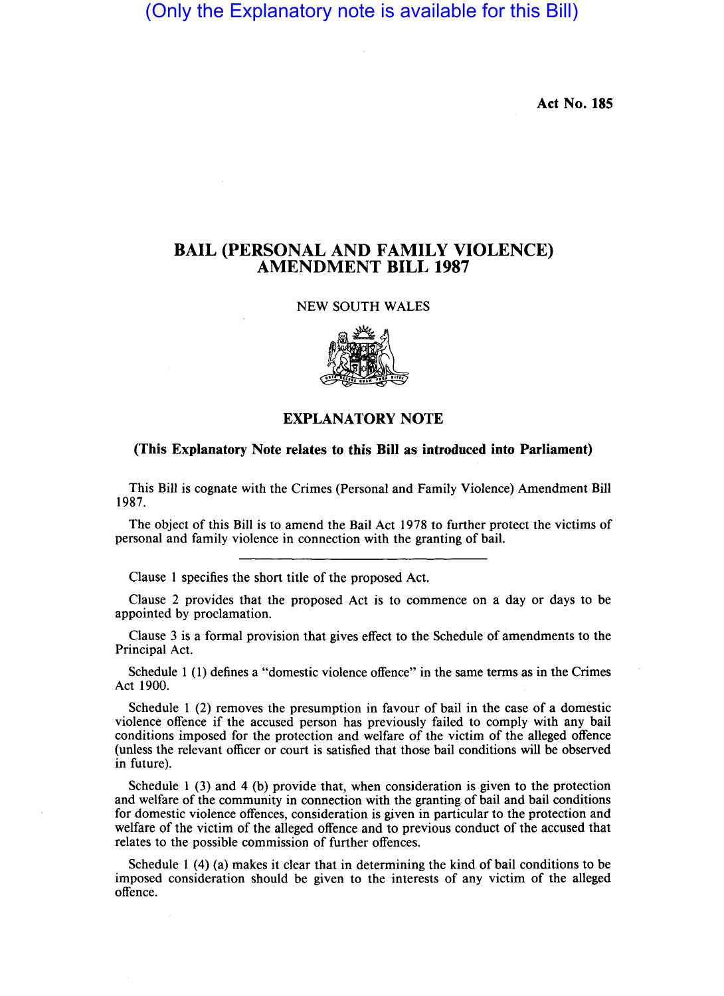(Only the Explanatory note is available for this Bill)

Act No. 185

## BAIL (PERSONAL AND FAMILY VIOLENCE) AMENDMENT BILL 1987

## NEW SOUTH WALES



## EXPLANATORY NOTE

## (This Explanatory Note relates to this Bill as introduced into Parliament)

This Bill is cognate with the Crimes (Personal and Family Violence) Amendment Bill 1987.

The object of this Bill is to amend the Bail Act 1978 to further protect the victims of personal and family violence in connection with the granting of bail.

Clause I specifies the short title of the proposed Act.

Clause 2 provides that the proposed Act is to commence on a day or days to be appointed by proclamation.

Clause 3 is a formal provision that gives effect to the Schedule of amendments to the Principal Act.

Schedule I (I) defines a "domestic violence offence" in the same terms as in the Crimes Act 1900.

Schedule 1 (2) removes the presumption in favour of bail in the case of a domestic violence offence if the accused person has previously failed to comply with any bail conditions imposed for the protection and welfare of the victim of the alleged offence (unless the relevant officer or court is satisfied that those bail conditions will be observed in future).

Schedule I (3) and 4 (b) provide that, when consideration is given to the protection and welfare of the community in connection with the granting. of bail and bail conditions for domestic violence offences, consideration is given in particular to the protection and welfare of the victim of the alleged offence and to previous conduct of the accused that relates to the possible commission of further offences.

Schedule I (4) (a) makes it clear that in determining the kind of bail conditions to be imposed consideration should be given to the interests of any victim of the alleged offence.